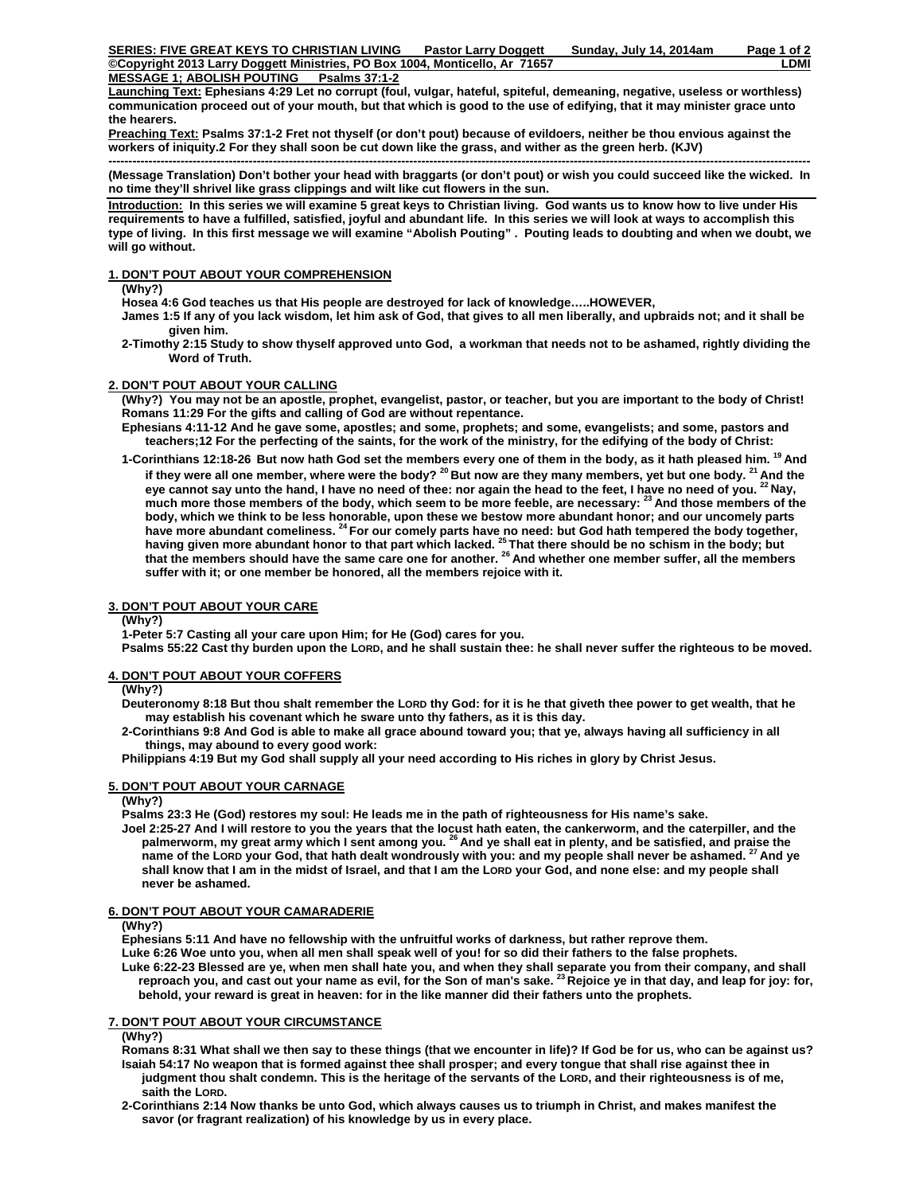# **MESSAGE 1; ABOLISH POUTING Psalms 37:1-2**

**Launching Text: Ephesians 4:29 Let no corrupt (foul, vulgar, hateful, spiteful, demeaning, negative, useless or worthless) communication proceed out of your mouth, but that which is good to the use of edifying, that it may minister grace unto the hearers.** 

**Preaching Text: Psalms 37:1-2 Fret not thyself (or don't pout) because of evildoers, neither be thou envious against the workers of iniquity.2 For they shall soon be cut down like the grass, and wither as the green herb. (KJV)** 

**------------------------------------------------------------------------------------------------------------------------------------------------------------------------------- (Message Translation) Don't bother your head with braggarts (or don't pout) or wish you could succeed like the wicked. In no time they'll shrivel like grass clippings and wilt like cut flowers in the sun.** 

**Introduction: In this series we will examine 5 great keys to Christian living. God wants us to know how to live under His requirements to have a fulfilled, satisfied, joyful and abundant life. In this series we will look at ways to accomplish this type of living. In this first message we will examine "Abolish Pouting" . Pouting leads to doubting and when we doubt, we will go without.** 

# **1. DON'T POUT ABOUT YOUR COMPREHENSION**

 **(Why?)** 

 **Hosea 4:6 God teaches us that His people are destroyed for lack of knowledge…..HOWEVER,** 

 **James 1:5 If any of you lack wisdom, let him ask of God, that gives to all men liberally, and upbraids not; and it shall be given him.** 

 **2-Timothy 2:15 Study to show thyself approved unto God, a workman that needs not to be ashamed, rightly dividing the Word of Truth.** 

## **2. DON'T POUT ABOUT YOUR CALLING**

 **(Why?) You may not be an apostle, prophet, evangelist, pastor, or teacher, but you are important to the body of Christ! Romans 11:29 For the gifts and calling of God are without repentance.** 

- **Ephesians 4:11-12 And he gave some, apostles; and some, prophets; and some, evangelists; and some, pastors and teachers;12 For the perfecting of the saints, for the work of the ministry, for the edifying of the body of Christ:**
- **1-Corinthians 12:18-26 But now hath God set the members every one of them in the body, as it hath pleased him. 19 And**  if they were all one member, where were the body?<sup>20</sup> But now are they many members, yet but one body.<sup>21</sup> And the eye cannot say unto the hand, I have no need of thee: nor again the head to the feet, I have no need of you. <sup>22</sup> Nay,  **much more those members of the body, which seem to be more feeble, are necessary: 23 And those members of the body, which we think to be less honorable, upon these we bestow more abundant honor; and our uncomely parts have more abundant comeliness. 24 For our comely parts have no need: but God hath tempered the body together, having given more abundant honor to that part which lacked. 25 That there should be no schism in the body; but that the members should have the same care one for another. 26 And whether one member suffer, all the members suffer with it; or one member be honored, all the members rejoice with it.**

# **3. DON'T POUT ABOUT YOUR CARE**

 **(Why?)** 

 **1-Peter 5:7 Casting all your care upon Him; for He (God) cares for you.** 

 **Psalms 55:22 Cast thy burden upon the LORD, and he shall sustain thee: he shall never suffer the righteous to be moved.** 

### **4. DON'T POUT ABOUT YOUR COFFERS**

# **(Why?)**

 **Deuteronomy 8:18 But thou shalt remember the LORD thy God: for it is he that giveth thee power to get wealth, that he may establish his covenant which he sware unto thy fathers, as it is this day.** 

 **2-Corinthians 9:8 And God is able to make all grace abound toward you; that ye, always having all sufficiency in all things, may abound to every good work:** 

 **Philippians 4:19 But my God shall supply all your need according to His riches in glory by Christ Jesus.** 

### **5. DON'T POUT ABOUT YOUR CARNAGE**

 **(Why?)** 

 **Psalms 23:3 He (God) restores my soul: He leads me in the path of righteousness for His name's sake.** 

 **Joel 2:25-27 And I will restore to you the years that the locust hath eaten, the cankerworm, and the caterpiller, and the palmerworm, my great army which I sent among you. 26 And ye shall eat in plenty, and be satisfied, and praise the name of the LORD your God, that hath dealt wondrously with you: and my people shall never be ashamed. 27 And ye shall know that I am in the midst of Israel, and that I am the LORD your God, and none else: and my people shall never be ashamed.** 

### **6. DON'T POUT ABOUT YOUR CAMARADERIE**

#### **(Why?)**

 **Ephesians 5:11 And have no fellowship with the unfruitful works of darkness, but rather reprove them.** 

 **Luke 6:26 Woe unto you, when all men shall speak well of you! for so did their fathers to the false prophets.** 

Luke 6:22-23 Blessed are ye, when men shall hate you, and when they shall separate you from their company, and shall<br>reproach you, and cast out your name as evil, for the Son of man's sake. <sup>23</sup> Rejoice ye in that day, and  **behold, your reward is great in heaven: for in the like manner did their fathers unto the prophets.**

### **7. DON'T POUT ABOUT YOUR CIRCUMSTANCE**

#### **(Why?)**

 **Romans 8:31 What shall we then say to these things (that we encounter in life)? If God be for us, who can be against us? Isaiah 54:17 No weapon that is formed against thee shall prosper; and every tongue that shall rise against thee in judgment thou shalt condemn. This is the heritage of the servants of the LORD, and their righteousness is of me, saith the LORD.** 

 **2-Corinthians 2:14 Now thanks be unto God, which always causes us to triumph in Christ, and makes manifest the savor (or fragrant realization) of his knowledge by us in every place.**